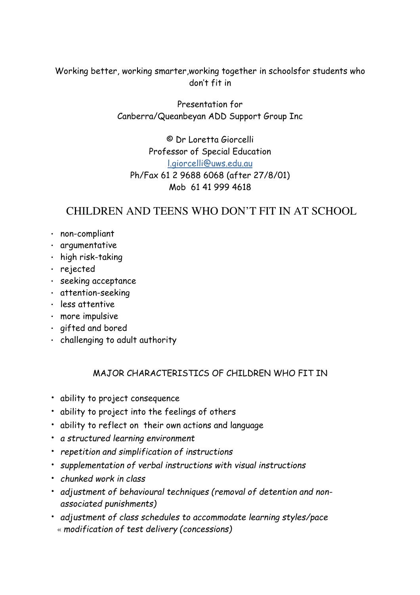## Working better, working smarter,working together in schoolsfor students who don't fit in

Presentation for Canberra/Queanbeyan ADD Support Group Inc

© Dr Loretta Giorcelli Professor of Special Education l.giorcelli@uws.edu.au Ph/Fax 61 2 9688 6068 (after 27/8/01) Mob 61 41 999 4618

# CHILDREN AND TEENS WHO DON'T FIT IN AT SCHOOL

- non-compliant
- argumentative
- high risk-taking
- rejected
- seeking acceptance
- attention-seeking
- less attentive
- more impulsive
- gifted and bored
- challenging to adult authority

## MAJOR CHARACTERISTICS OF CHILDREN WHO FIT IN

- ability to project consequence
- ability to project into the feelings of others
- ability to reflect on their own actions and language
- a structured learning environment
- repetition and simplification of instructions
- supplementation of verbal instructions with visual instructions
- chunked work in class
- adjustment of behavioural techniques (removal of detention and nonassociated punishments)
- adjustment of class schedules to accommodate learning styles/pace « modification of test delivery (concessions)